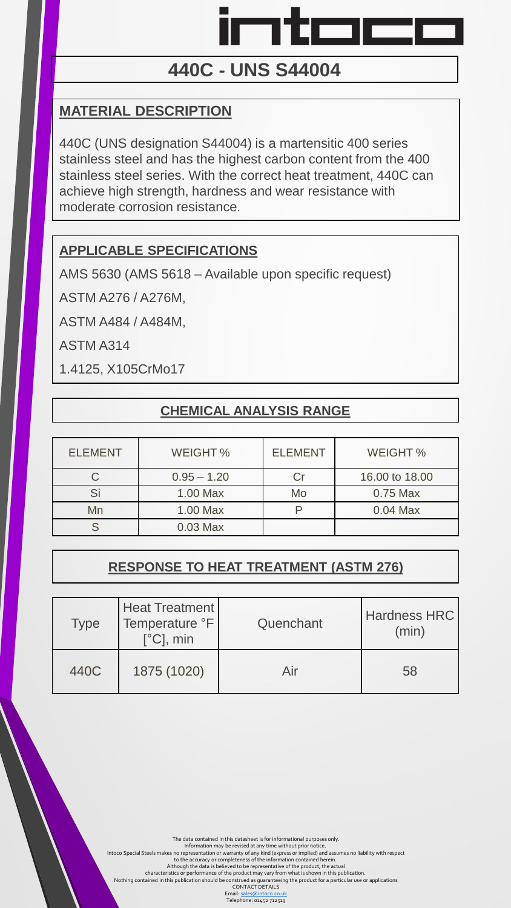

# **440C** ‐ **UNS S44004**

## **MATERIAL DESCRIPTION**

440C (UNS designation S44004) is a martensitic 400 series stainless steel and has the highest carbon content from the 400 stainless steel series. With the correct heat treatment, 440C can achieve high strength, hardness and wear resistance with moderate corrosion resistance.

## **APPLICABLE SPECIFICATIONS**

AMS 5630 (AMS 5618 – Available upon specific request)

ASTM A276 / A276M,

ASTM A484 / A484M,

ASTM A314

1.4125, X105CrMo17

### **CHEMICAL ANALYSIS RANGE**

| <b>ELEMENT</b> | WEIGHT %      | <b>ELEMENT</b> | WEIGHT %       |
|----------------|---------------|----------------|----------------|
|                | $0.95 - 1.20$ |                | 16.00 to 18.00 |
| Si             | $1.00$ Max    | Mo             | $0.75$ Max     |
| Mn             | 1.00 Max      |                | $0.04$ Max     |
|                | $0.03$ Max    |                |                |

# **RESPONSE TO HEAT TREATMENT (ASTM 276)**

| <b>Type</b> | <b>Heat Treatment</b><br>Temperature °F<br>$[^{\circ}C]$ , min | Quenchant | <b>Hardness HRC</b><br>(min) |
|-------------|----------------------------------------------------------------|-----------|------------------------------|
| 440C        | 1875 (1020)                                                    | Air       | 58                           |

The data contained in this datasheet is for informational purposes only.<br>Information may be revised at any time without prior notice.<br>Intoco Special Steels makes no representation or warranty of any kind (sexpess or implie

characteristics or performance of the product may vary from what is shown in this publication.<br>Nothing contained in this publication should be construed as guaranteeing the product for a particular use or applications<br>CONT

Email: <u>sales@intoco.co.uk</u><br>Telephone: 01452 712519